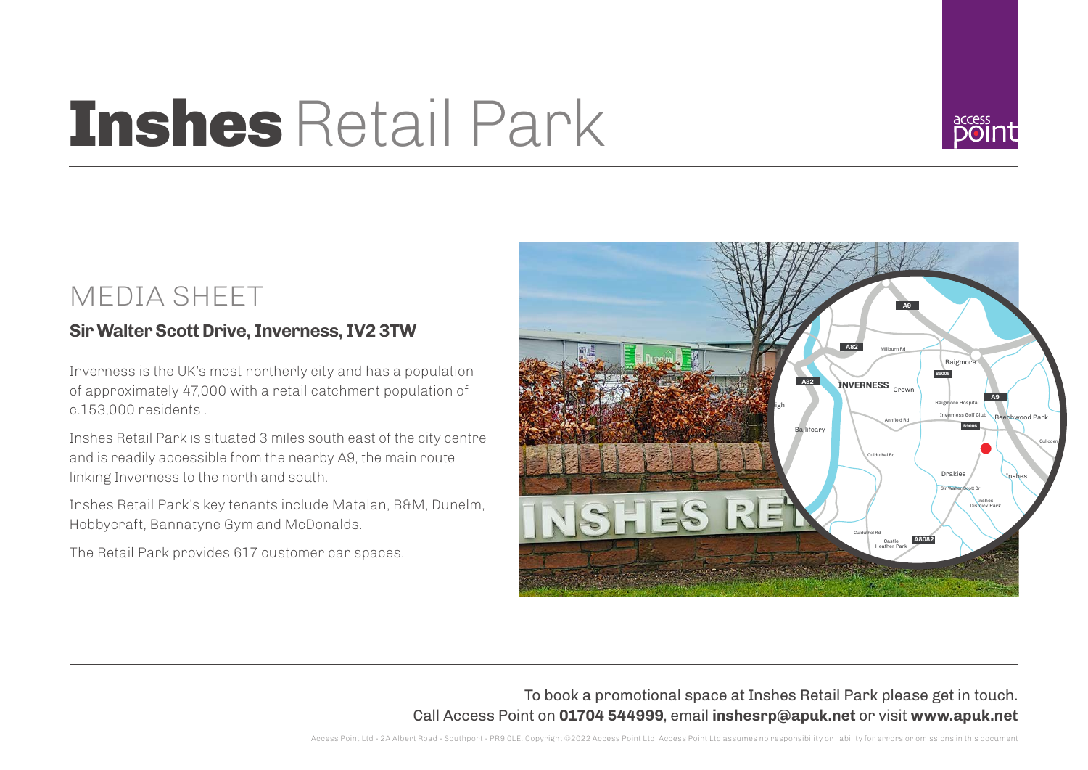# Inshes Retail Park



### MEDIA SHEET

#### **Sir Walter Scott Drive, Inverness, IV2 3TW**

Inverness is the UK's most northerly city and has a population of approximately 47,000 with a retail catchment population of c.153,000 residents .

Inshes Retail Park is situated 3 miles south east of the city centre and is readily accessible from the nearby A9, the main route linking Inverness to the north and south.

Inshes Retail Park's key tenants include Matalan, B&M, Dunelm, Hobbycraft, Bannatyne Gym and McDonalds.

The Retail Park provides 617 customer car spaces.



To book a promotional space at Inshes Retail Park please get in touch. Call Access Point on **01704 544999**, email **inshesrp@apuk.net** or visit **www.apuk.net**